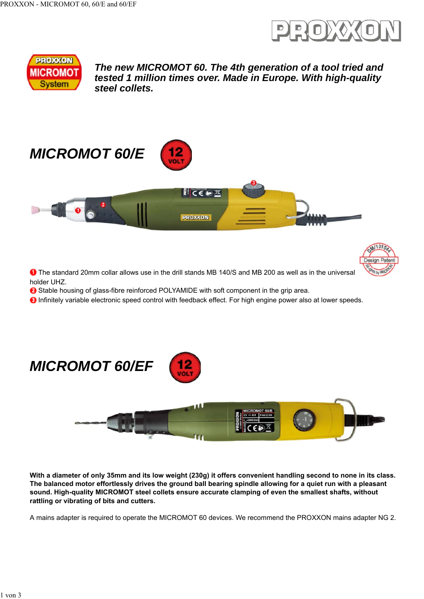



*The new MICROMOT 60. The 4th generation of a tool tried and tested 1 million times over. Made in Europe. With high-quality steel collets.*





**O** The standard 20mm collar allows use in the drill stands MB 140/S and MB 200 as well as in the universal holder UHZ.

12

**8** Stable housing of glass-fibre reinforced POLYAMIDE with soft component in the grip area.

**O** Infinitely variable electronic speed control with feedback effect. For high engine power also at lower speeds.



**With a diameter of only 35mm and its low weight (230g) it offers convenient handling second to none in its class. The balanced motor effortlessly drives the ground ball bearing spindle allowing for a quiet run with a pleasant sound. High-quality MICROMOT steel collets ensure accurate clamping of even the smallest shafts, without rattling or vibrating of bits and cutters.**

A mains adapter is required to operate the MICROMOT 60 devices. We recommend the PROXXON mains adapter NG 2.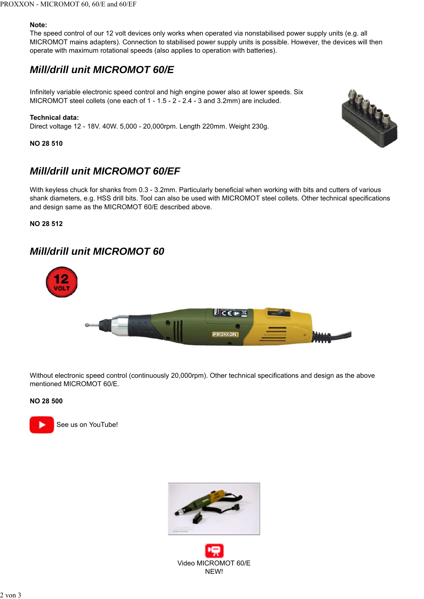## **Note:**

The speed control of our 12 volt devices only works when operated via nonstabilised power supply units (e.g. all MICROMOT mains adapters). Connection to stabilised power supply units is possible. However, the devices will then operate with maximum rotational speeds (also applies to operation with batteries).

# *Mill/drill unit MICROMOT 60/E*

Infinitely variable electronic speed control and high engine power also at lower speeds. Six MICROMOT steel collets (one each of 1 - 1.5 - 2 - 2.4 - 3 and 3.2mm) are included.

## **Technical data:**

Direct voltage 12 - 18V. 40W. 5,000 - 20,000rpm. Length 220mm. Weight 230g.

**NO 28 510**

# *Mill/drill unit MICROMOT 60/EF*

With keyless chuck for shanks from 0.3 - 3.2mm. Particularly beneficial when working with bits and cutters of various shank diameters, e.g. HSS drill bits. Tool can also be used with MICROMOT steel collets. Other technical specifications and design same as the MICROMOT 60/E described above.

**NO 28 512**

# *Mill/drill unit MICROMOT 60*



Without electronic speed control (continuously 20,000rpm). Other technical specifications and design as the above mentioned MICROMOT 60/E.

### **NO 28 500**





Video MICROMOT 60/E NEW!